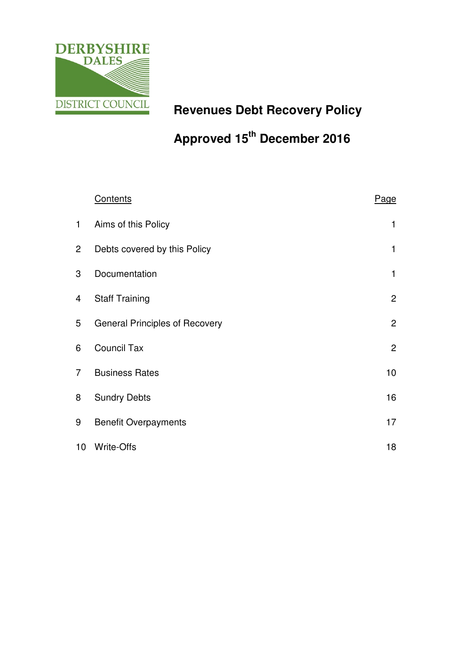

**Revenues Debt Recovery Policy** 

**Approved 15th December 2016** 

|                 | Contents                              | Page            |
|-----------------|---------------------------------------|-----------------|
| $\mathbf{1}$    | Aims of this Policy                   | 1               |
| 2 <sup>1</sup>  | Debts covered by this Policy          | 1               |
| 3               | Documentation                         | 1               |
| 4               | <b>Staff Training</b>                 | $\overline{2}$  |
| 5               | <b>General Principles of Recovery</b> | $\overline{2}$  |
| 6               | <b>Council Tax</b>                    | $\overline{2}$  |
| 7 <sup>1</sup>  | <b>Business Rates</b>                 | 10 <sub>1</sub> |
| 8               | <b>Sundry Debts</b>                   | 16              |
| 9               | <b>Benefit Overpayments</b>           | 17              |
| 10 <sup>°</sup> | <b>Write-Offs</b>                     | 18              |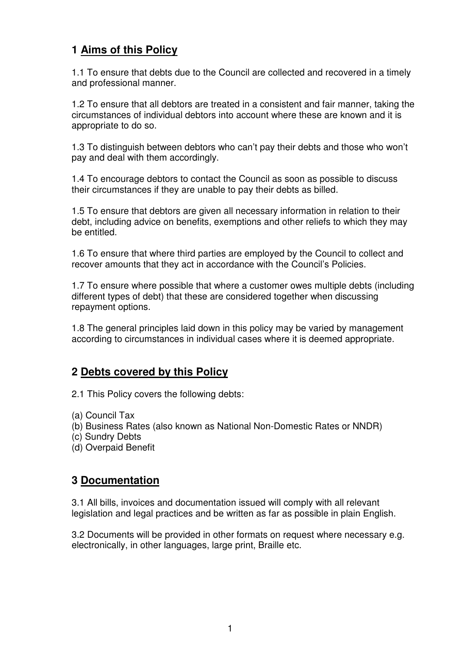# **1 Aims of this Policy**

1.1 To ensure that debts due to the Council are collected and recovered in a timely and professional manner.

1.2 To ensure that all debtors are treated in a consistent and fair manner, taking the circumstances of individual debtors into account where these are known and it is appropriate to do so.

1.3 To distinguish between debtors who can't pay their debts and those who won't pay and deal with them accordingly.

1.4 To encourage debtors to contact the Council as soon as possible to discuss their circumstances if they are unable to pay their debts as billed.

1.5 To ensure that debtors are given all necessary information in relation to their debt, including advice on benefits, exemptions and other reliefs to which they may be entitled.

1.6 To ensure that where third parties are employed by the Council to collect and recover amounts that they act in accordance with the Council's Policies.

1.7 To ensure where possible that where a customer owes multiple debts (including different types of debt) that these are considered together when discussing repayment options.

1.8 The general principles laid down in this policy may be varied by management according to circumstances in individual cases where it is deemed appropriate.

## **2 Debts covered by this Policy**

2.1 This Policy covers the following debts:

- (a) Council Tax
- (b) Business Rates (also known as National Non-Domestic Rates or NNDR)
- (c) Sundry Debts
- (d) Overpaid Benefit

## **3 Documentation**

3.1 All bills, invoices and documentation issued will comply with all relevant legislation and legal practices and be written as far as possible in plain English.

3.2 Documents will be provided in other formats on request where necessary e.g. electronically, in other languages, large print, Braille etc.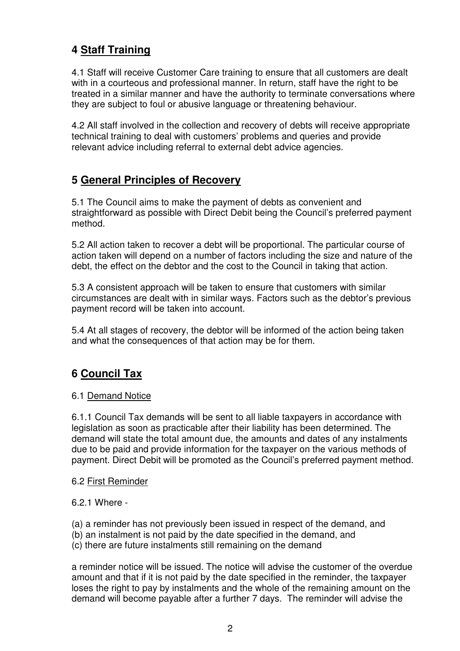# **4 Staff Training**

4.1 Staff will receive Customer Care training to ensure that all customers are dealt with in a courteous and professional manner. In return, staff have the right to be treated in a similar manner and have the authority to terminate conversations where they are subject to foul or abusive language or threatening behaviour.

4.2 All staff involved in the collection and recovery of debts will receive appropriate technical training to deal with customers' problems and queries and provide relevant advice including referral to external debt advice agencies.

## **5 General Principles of Recovery**

5.1 The Council aims to make the payment of debts as convenient and straightforward as possible with Direct Debit being the Council's preferred payment method.

5.2 All action taken to recover a debt will be proportional. The particular course of action taken will depend on a number of factors including the size and nature of the debt, the effect on the debtor and the cost to the Council in taking that action.

5.3 A consistent approach will be taken to ensure that customers with similar circumstances are dealt with in similar ways. Factors such as the debtor's previous payment record will be taken into account.

5.4 At all stages of recovery, the debtor will be informed of the action being taken and what the consequences of that action may be for them.

## **6 Council Tax**

## 6.1 Demand Notice

6.1.1 Council Tax demands will be sent to all liable taxpayers in accordance with legislation as soon as practicable after their liability has been determined. The demand will state the total amount due, the amounts and dates of any instalments due to be paid and provide information for the taxpayer on the various methods of payment. Direct Debit will be promoted as the Council's preferred payment method.

## 6.2 First Reminder

## 6.2.1 Where -

- (a) a reminder has not previously been issued in respect of the demand, and
- (b) an instalment is not paid by the date specified in the demand, and
- (c) there are future instalments still remaining on the demand

a reminder notice will be issued. The notice will advise the customer of the overdue amount and that if it is not paid by the date specified in the reminder, the taxpayer loses the right to pay by instalments and the whole of the remaining amount on the demand will become payable after a further 7 days. The reminder will advise the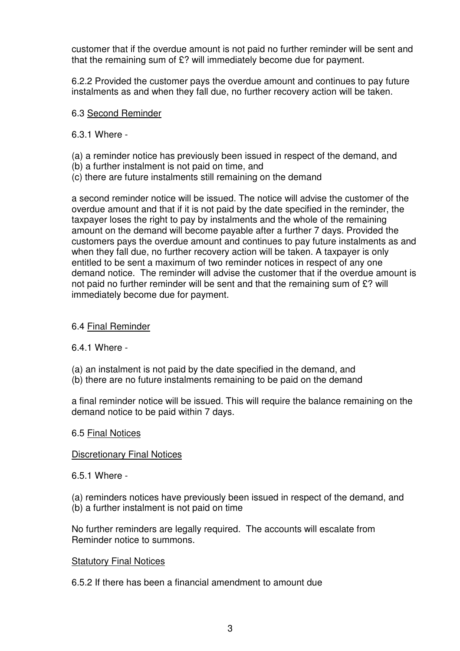customer that if the overdue amount is not paid no further reminder will be sent and that the remaining sum of £? will immediately become due for payment.

6.2.2 Provided the customer pays the overdue amount and continues to pay future instalments as and when they fall due, no further recovery action will be taken.

## 6.3 Second Reminder

## 6.3.1 Where -

- (a) a reminder notice has previously been issued in respect of the demand, and
- (b) a further instalment is not paid on time, and
- (c) there are future instalments still remaining on the demand

a second reminder notice will be issued. The notice will advise the customer of the overdue amount and that if it is not paid by the date specified in the reminder, the taxpayer loses the right to pay by instalments and the whole of the remaining amount on the demand will become payable after a further 7 days. Provided the customers pays the overdue amount and continues to pay future instalments as and when they fall due, no further recovery action will be taken. A taxpayer is only entitled to be sent a maximum of two reminder notices in respect of any one demand notice. The reminder will advise the customer that if the overdue amount is not paid no further reminder will be sent and that the remaining sum of £? will immediately become due for payment.

## 6.4 Final Reminder

## 6.4.1 Where -

- (a) an instalment is not paid by the date specified in the demand, and
- (b) there are no future instalments remaining to be paid on the demand

a final reminder notice will be issued. This will require the balance remaining on the demand notice to be paid within 7 days.

## 6.5 Final Notices

## Discretionary Final Notices

## 6.5.1 Where -

(a) reminders notices have previously been issued in respect of the demand, and (b) a further instalment is not paid on time

No further reminders are legally required. The accounts will escalate from Reminder notice to summons.

## Statutory Final Notices

6.5.2 If there has been a financial amendment to amount due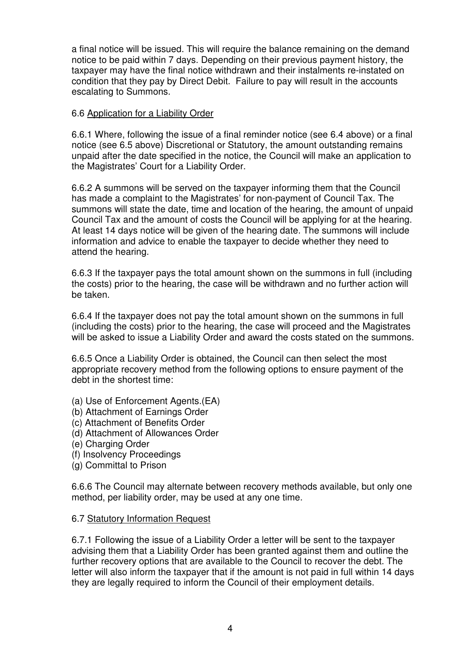a final notice will be issued. This will require the balance remaining on the demand notice to be paid within 7 days. Depending on their previous payment history, the taxpayer may have the final notice withdrawn and their instalments re-instated on condition that they pay by Direct Debit. Failure to pay will result in the accounts escalating to Summons.

## 6.6 Application for a Liability Order

6.6.1 Where, following the issue of a final reminder notice (see 6.4 above) or a final notice (see 6.5 above) Discretional or Statutory, the amount outstanding remains unpaid after the date specified in the notice, the Council will make an application to the Magistrates' Court for a Liability Order.

6.6.2 A summons will be served on the taxpayer informing them that the Council has made a complaint to the Magistrates' for non-payment of Council Tax. The summons will state the date, time and location of the hearing, the amount of unpaid Council Tax and the amount of costs the Council will be applying for at the hearing. At least 14 days notice will be given of the hearing date. The summons will include information and advice to enable the taxpayer to decide whether they need to attend the hearing.

6.6.3 If the taxpayer pays the total amount shown on the summons in full (including the costs) prior to the hearing, the case will be withdrawn and no further action will be taken.

6.6.4 If the taxpayer does not pay the total amount shown on the summons in full (including the costs) prior to the hearing, the case will proceed and the Magistrates will be asked to issue a Liability Order and award the costs stated on the summons.

6.6.5 Once a Liability Order is obtained, the Council can then select the most appropriate recovery method from the following options to ensure payment of the debt in the shortest time:

- (a) Use of Enforcement Agents.(EA)
- (b) Attachment of Earnings Order
- (c) Attachment of Benefits Order
- (d) Attachment of Allowances Order
- (e) Charging Order
- (f) Insolvency Proceedings
- (g) Committal to Prison

6.6.6 The Council may alternate between recovery methods available, but only one method, per liability order, may be used at any one time.

## 6.7 Statutory Information Request

6.7.1 Following the issue of a Liability Order a letter will be sent to the taxpayer advising them that a Liability Order has been granted against them and outline the further recovery options that are available to the Council to recover the debt. The letter will also inform the taxpayer that if the amount is not paid in full within 14 days they are legally required to inform the Council of their employment details.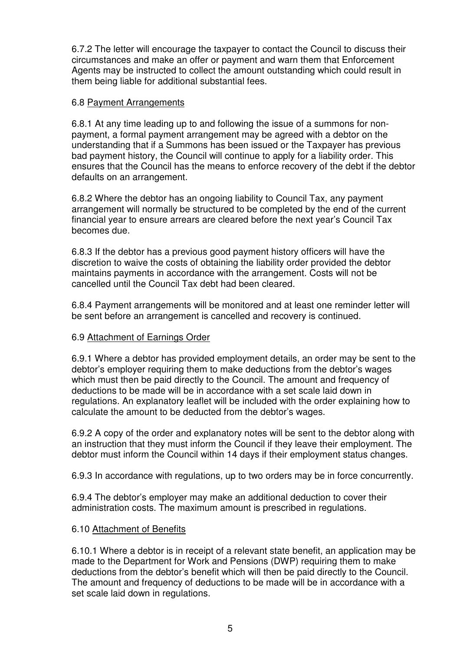6.7.2 The letter will encourage the taxpayer to contact the Council to discuss their circumstances and make an offer or payment and warn them that Enforcement Agents may be instructed to collect the amount outstanding which could result in them being liable for additional substantial fees.

## 6.8 Payment Arrangements

6.8.1 At any time leading up to and following the issue of a summons for nonpayment, a formal payment arrangement may be agreed with a debtor on the understanding that if a Summons has been issued or the Taxpayer has previous bad payment history, the Council will continue to apply for a liability order. This ensures that the Council has the means to enforce recovery of the debt if the debtor defaults on an arrangement.

6.8.2 Where the debtor has an ongoing liability to Council Tax, any payment arrangement will normally be structured to be completed by the end of the current financial year to ensure arrears are cleared before the next year's Council Tax becomes due.

6.8.3 If the debtor has a previous good payment history officers will have the discretion to waive the costs of obtaining the liability order provided the debtor maintains payments in accordance with the arrangement. Costs will not be cancelled until the Council Tax debt had been cleared.

6.8.4 Payment arrangements will be monitored and at least one reminder letter will be sent before an arrangement is cancelled and recovery is continued.

## 6.9 Attachment of Earnings Order

6.9.1 Where a debtor has provided employment details, an order may be sent to the debtor's employer requiring them to make deductions from the debtor's wages which must then be paid directly to the Council. The amount and frequency of deductions to be made will be in accordance with a set scale laid down in regulations. An explanatory leaflet will be included with the order explaining how to calculate the amount to be deducted from the debtor's wages.

6.9.2 A copy of the order and explanatory notes will be sent to the debtor along with an instruction that they must inform the Council if they leave their employment. The debtor must inform the Council within 14 days if their employment status changes.

6.9.3 In accordance with regulations, up to two orders may be in force concurrently.

6.9.4 The debtor's employer may make an additional deduction to cover their administration costs. The maximum amount is prescribed in regulations.

## 6.10 Attachment of Benefits

6.10.1 Where a debtor is in receipt of a relevant state benefit, an application may be made to the Department for Work and Pensions (DWP) requiring them to make deductions from the debtor's benefit which will then be paid directly to the Council. The amount and frequency of deductions to be made will be in accordance with a set scale laid down in regulations.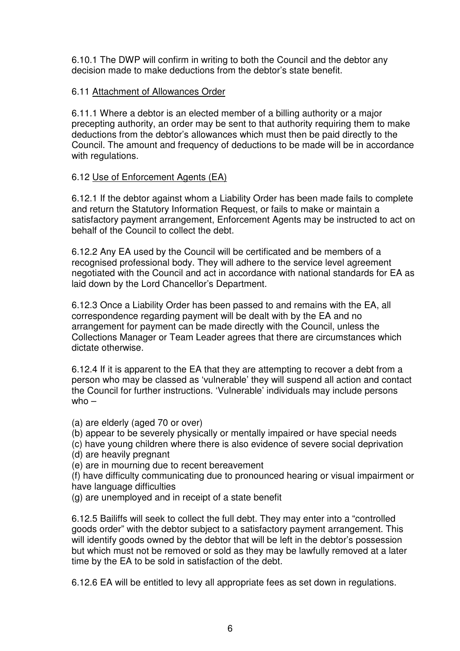6.10.1 The DWP will confirm in writing to both the Council and the debtor any decision made to make deductions from the debtor's state benefit.

## 6.11 Attachment of Allowances Order

6.11.1 Where a debtor is an elected member of a billing authority or a major precepting authority, an order may be sent to that authority requiring them to make deductions from the debtor's allowances which must then be paid directly to the Council. The amount and frequency of deductions to be made will be in accordance with regulations.

## 6.12 Use of Enforcement Agents (EA)

6.12.1 If the debtor against whom a Liability Order has been made fails to complete and return the Statutory Information Request, or fails to make or maintain a satisfactory payment arrangement, Enforcement Agents may be instructed to act on behalf of the Council to collect the debt.

6.12.2 Any EA used by the Council will be certificated and be members of a recognised professional body. They will adhere to the service level agreement negotiated with the Council and act in accordance with national standards for EA as laid down by the Lord Chancellor's Department.

6.12.3 Once a Liability Order has been passed to and remains with the EA, all correspondence regarding payment will be dealt with by the EA and no arrangement for payment can be made directly with the Council, unless the Collections Manager or Team Leader agrees that there are circumstances which dictate otherwise.

6.12.4 If it is apparent to the EA that they are attempting to recover a debt from a person who may be classed as 'vulnerable' they will suspend all action and contact the Council for further instructions. 'Vulnerable' individuals may include persons who  $-$ 

- (a) are elderly (aged 70 or over)
- (b) appear to be severely physically or mentally impaired or have special needs
- (c) have young children where there is also evidence of severe social deprivation
- (d) are heavily pregnant
- (e) are in mourning due to recent bereavement
- (f) have difficulty communicating due to pronounced hearing or visual impairment or have language difficulties
- (g) are unemployed and in receipt of a state benefit

6.12.5 Bailiffs will seek to collect the full debt. They may enter into a "controlled goods order" with the debtor subject to a satisfactory payment arrangement. This will identify goods owned by the debtor that will be left in the debtor's possession but which must not be removed or sold as they may be lawfully removed at a later time by the EA to be sold in satisfaction of the debt.

6.12.6 EA will be entitled to levy all appropriate fees as set down in regulations.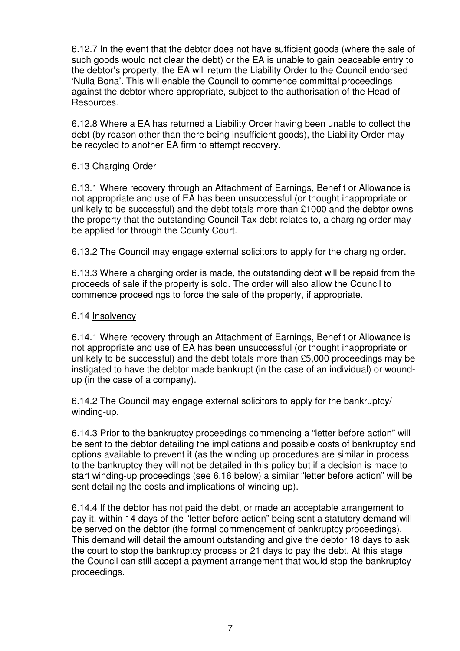6.12.7 In the event that the debtor does not have sufficient goods (where the sale of such goods would not clear the debt) or the EA is unable to gain peaceable entry to the debtor's property, the EA will return the Liability Order to the Council endorsed 'Nulla Bona'. This will enable the Council to commence committal proceedings against the debtor where appropriate, subject to the authorisation of the Head of **Resources** 

6.12.8 Where a EA has returned a Liability Order having been unable to collect the debt (by reason other than there being insufficient goods), the Liability Order may be recycled to another EA firm to attempt recovery.

## 6.13 Charging Order

6.13.1 Where recovery through an Attachment of Earnings, Benefit or Allowance is not appropriate and use of EA has been unsuccessful (or thought inappropriate or unlikely to be successful) and the debt totals more than £1000 and the debtor owns the property that the outstanding Council Tax debt relates to, a charging order may be applied for through the County Court.

6.13.2 The Council may engage external solicitors to apply for the charging order.

6.13.3 Where a charging order is made, the outstanding debt will be repaid from the proceeds of sale if the property is sold. The order will also allow the Council to commence proceedings to force the sale of the property, if appropriate.

## 6.14 Insolvency

6.14.1 Where recovery through an Attachment of Earnings, Benefit or Allowance is not appropriate and use of EA has been unsuccessful (or thought inappropriate or unlikely to be successful) and the debt totals more than £5,000 proceedings may be instigated to have the debtor made bankrupt (in the case of an individual) or woundup (in the case of a company).

6.14.2 The Council may engage external solicitors to apply for the bankruptcy/ winding-up.

6.14.3 Prior to the bankruptcy proceedings commencing a "letter before action" will be sent to the debtor detailing the implications and possible costs of bankruptcy and options available to prevent it (as the winding up procedures are similar in process to the bankruptcy they will not be detailed in this policy but if a decision is made to start winding-up proceedings (see 6.16 below) a similar "letter before action" will be sent detailing the costs and implications of winding-up).

6.14.4 If the debtor has not paid the debt, or made an acceptable arrangement to pay it, within 14 days of the "letter before action" being sent a statutory demand will be served on the debtor (the formal commencement of bankruptcy proceedings). This demand will detail the amount outstanding and give the debtor 18 days to ask the court to stop the bankruptcy process or 21 days to pay the debt. At this stage the Council can still accept a payment arrangement that would stop the bankruptcy proceedings.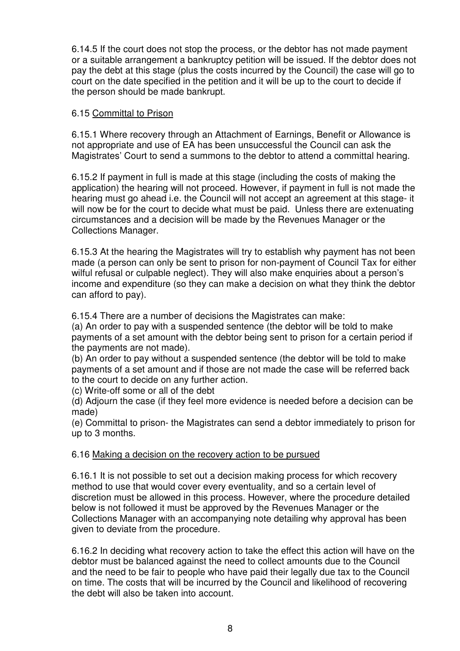6.14.5 If the court does not stop the process, or the debtor has not made payment or a suitable arrangement a bankruptcy petition will be issued. If the debtor does not pay the debt at this stage (plus the costs incurred by the Council) the case will go to court on the date specified in the petition and it will be up to the court to decide if the person should be made bankrupt.

## 6.15 Committal to Prison

6.15.1 Where recovery through an Attachment of Earnings, Benefit or Allowance is not appropriate and use of EA has been unsuccessful the Council can ask the Magistrates' Court to send a summons to the debtor to attend a committal hearing.

6.15.2 If payment in full is made at this stage (including the costs of making the application) the hearing will not proceed. However, if payment in full is not made the hearing must go ahead i.e. the Council will not accept an agreement at this stage- it will now be for the court to decide what must be paid. Unless there are extenuating circumstances and a decision will be made by the Revenues Manager or the Collections Manager.

6.15.3 At the hearing the Magistrates will try to establish why payment has not been made (a person can only be sent to prison for non-payment of Council Tax for either wilful refusal or culpable neglect). They will also make enquiries about a person's income and expenditure (so they can make a decision on what they think the debtor can afford to pay).

6.15.4 There are a number of decisions the Magistrates can make:

(a) An order to pay with a suspended sentence (the debtor will be told to make payments of a set amount with the debtor being sent to prison for a certain period if the payments are not made).

(b) An order to pay without a suspended sentence (the debtor will be told to make payments of a set amount and if those are not made the case will be referred back to the court to decide on any further action.

(c) Write-off some or all of the debt

(d) Adjourn the case (if they feel more evidence is needed before a decision can be made)

(e) Committal to prison- the Magistrates can send a debtor immediately to prison for up to 3 months.

## 6.16 Making a decision on the recovery action to be pursued

6.16.1 It is not possible to set out a decision making process for which recovery method to use that would cover every eventuality, and so a certain level of discretion must be allowed in this process. However, where the procedure detailed below is not followed it must be approved by the Revenues Manager or the Collections Manager with an accompanying note detailing why approval has been given to deviate from the procedure.

6.16.2 In deciding what recovery action to take the effect this action will have on the debtor must be balanced against the need to collect amounts due to the Council and the need to be fair to people who have paid their legally due tax to the Council on time. The costs that will be incurred by the Council and likelihood of recovering the debt will also be taken into account.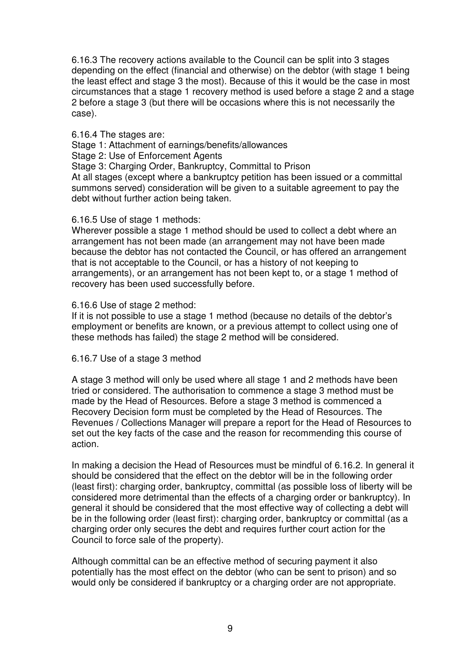6.16.3 The recovery actions available to the Council can be split into 3 stages depending on the effect (financial and otherwise) on the debtor (with stage 1 being the least effect and stage 3 the most). Because of this it would be the case in most circumstances that a stage 1 recovery method is used before a stage 2 and a stage 2 before a stage 3 (but there will be occasions where this is not necessarily the case).

#### 6.16.4 The stages are:

Stage 1: Attachment of earnings/benefits/allowances

Stage 2: Use of Enforcement Agents

Stage 3: Charging Order, Bankruptcy, Committal to Prison At all stages (except where a bankruptcy petition has been issued or a committal summons served) consideration will be given to a suitable agreement to pay the debt without further action being taken.

#### 6.16.5 Use of stage 1 methods:

Wherever possible a stage 1 method should be used to collect a debt where an arrangement has not been made (an arrangement may not have been made because the debtor has not contacted the Council, or has offered an arrangement that is not acceptable to the Council, or has a history of not keeping to arrangements), or an arrangement has not been kept to, or a stage 1 method of recovery has been used successfully before.

#### 6.16.6 Use of stage 2 method:

If it is not possible to use a stage 1 method (because no details of the debtor's employment or benefits are known, or a previous attempt to collect using one of these methods has failed) the stage 2 method will be considered.

#### 6.16.7 Use of a stage 3 method

A stage 3 method will only be used where all stage 1 and 2 methods have been tried or considered. The authorisation to commence a stage 3 method must be made by the Head of Resources. Before a stage 3 method is commenced a Recovery Decision form must be completed by the Head of Resources. The Revenues / Collections Manager will prepare a report for the Head of Resources to set out the key facts of the case and the reason for recommending this course of action.

In making a decision the Head of Resources must be mindful of 6.16.2. In general it should be considered that the effect on the debtor will be in the following order (least first): charging order, bankruptcy, committal (as possible loss of liberty will be considered more detrimental than the effects of a charging order or bankruptcy). In general it should be considered that the most effective way of collecting a debt will be in the following order (least first): charging order, bankruptcy or committal (as a charging order only secures the debt and requires further court action for the Council to force sale of the property).

Although committal can be an effective method of securing payment it also potentially has the most effect on the debtor (who can be sent to prison) and so would only be considered if bankruptcy or a charging order are not appropriate.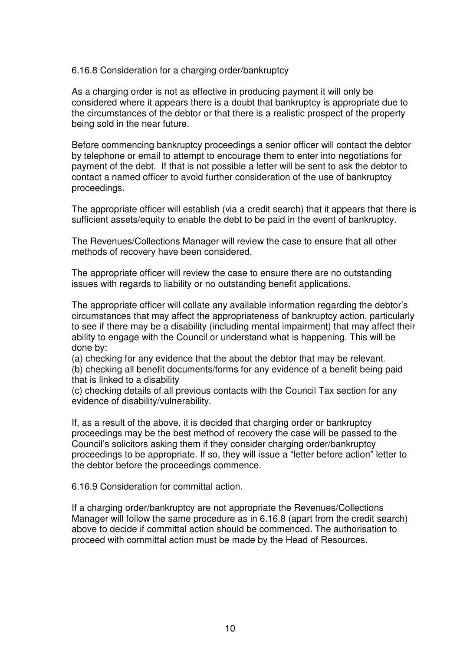## 6.16.8 Consideration for a charging order/bankruptcy

As a charging order is not as effective in producing payment it will only be considered where it appears there is a doubt that bankruptcy is appropriate due to the circumstances of the debtor or that there is a realistic prospect of the property being sold in the near future.

Before commencing bankruptcy proceedings a senior officer will contact the debtor by telephone or email to attempt to encourage them to enter into negotiations for payment of the debt. If that is not possible a letter will be sent to ask the debtor to contact a named officer to avoid further consideration of the use of bankruptcy proceedings.

The appropriate officer will establish (via a credit search) that it appears that there is sufficient assets/equity to enable the debt to be paid in the event of bankruptcy.

The Revenues/Collections Manager will review the case to ensure that all other methods of recovery have been considered.

The appropriate officer will review the case to ensure there are no outstanding issues with regards to liability or no outstanding benefit applications.

The appropriate officer will collate any available information regarding the debtor's circumstances that may affect the appropriateness of bankruptcy action, particularly to see if there may be a disability (including mental impairment) that may affect their ability to engage with the Council or understand what is happening. This will be done by:

(a) checking for any evidence that the about the debtor that may be relevant. (b) checking all benefit documents/forms for any evidence of a benefit being paid that is linked to a disability

(c) checking details of all previous contacts with the Council Tax section for any evidence of disability/vulnerability.

If, as a result of the above, it is decided that charging order or bankruptcy proceedings may be the best method of recovery the case will be passed to the Council's solicitors asking them if they consider charging order/bankruptcy proceedings to be appropriate. If so, they will issue a "letter before action" letter to the debtor before the proceedings commence.

6.16.9 Consideration for committal action.

If a charging order/bankruptcy are not appropriate the Revenues/Collections Manager will follow the same procedure as in 6.16.8 (apart from the credit search) above to decide if committal action should be commenced. The authorisation to proceed with committal action must be made by the Head of Resources.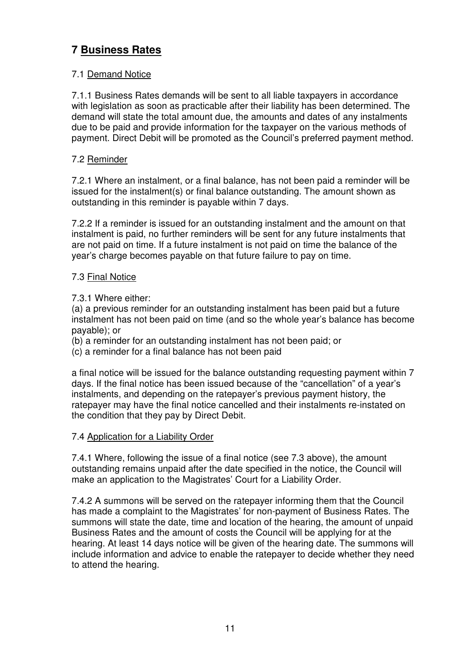# **7 Business Rates**

## 7.1 Demand Notice

7.1.1 Business Rates demands will be sent to all liable taxpayers in accordance with legislation as soon as practicable after their liability has been determined. The demand will state the total amount due, the amounts and dates of any instalments due to be paid and provide information for the taxpayer on the various methods of payment. Direct Debit will be promoted as the Council's preferred payment method.

## 7.2 Reminder

7.2.1 Where an instalment, or a final balance, has not been paid a reminder will be issued for the instalment(s) or final balance outstanding. The amount shown as outstanding in this reminder is payable within 7 days.

7.2.2 If a reminder is issued for an outstanding instalment and the amount on that instalment is paid, no further reminders will be sent for any future instalments that are not paid on time. If a future instalment is not paid on time the balance of the year's charge becomes payable on that future failure to pay on time.

## 7.3 Final Notice

## 7.3.1 Where either:

(a) a previous reminder for an outstanding instalment has been paid but a future instalment has not been paid on time (and so the whole year's balance has become payable); or

- (b) a reminder for an outstanding instalment has not been paid; or
- (c) a reminder for a final balance has not been paid

a final notice will be issued for the balance outstanding requesting payment within 7 days. If the final notice has been issued because of the "cancellation" of a year's instalments, and depending on the ratepayer's previous payment history, the ratepayer may have the final notice cancelled and their instalments re-instated on the condition that they pay by Direct Debit.

## 7.4 Application for a Liability Order

7.4.1 Where, following the issue of a final notice (see 7.3 above), the amount outstanding remains unpaid after the date specified in the notice, the Council will make an application to the Magistrates' Court for a Liability Order.

7.4.2 A summons will be served on the ratepayer informing them that the Council has made a complaint to the Magistrates' for non-payment of Business Rates. The summons will state the date, time and location of the hearing, the amount of unpaid Business Rates and the amount of costs the Council will be applying for at the hearing. At least 14 days notice will be given of the hearing date. The summons will include information and advice to enable the ratepayer to decide whether they need to attend the hearing.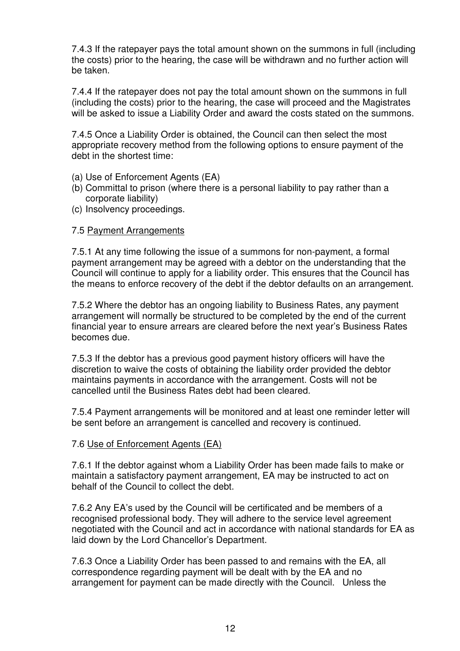7.4.3 If the ratepayer pays the total amount shown on the summons in full (including the costs) prior to the hearing, the case will be withdrawn and no further action will be taken.

7.4.4 If the ratepayer does not pay the total amount shown on the summons in full (including the costs) prior to the hearing, the case will proceed and the Magistrates will be asked to issue a Liability Order and award the costs stated on the summons.

7.4.5 Once a Liability Order is obtained, the Council can then select the most appropriate recovery method from the following options to ensure payment of the debt in the shortest time:

- (a) Use of Enforcement Agents (EA)
- (b) Committal to prison (where there is a personal liability to pay rather than a corporate liability)
- (c) Insolvency proceedings.

#### 7.5 Payment Arrangements

7.5.1 At any time following the issue of a summons for non-payment, a formal payment arrangement may be agreed with a debtor on the understanding that the Council will continue to apply for a liability order. This ensures that the Council has the means to enforce recovery of the debt if the debtor defaults on an arrangement.

7.5.2 Where the debtor has an ongoing liability to Business Rates, any payment arrangement will normally be structured to be completed by the end of the current financial year to ensure arrears are cleared before the next year's Business Rates becomes due.

7.5.3 If the debtor has a previous good payment history officers will have the discretion to waive the costs of obtaining the liability order provided the debtor maintains payments in accordance with the arrangement. Costs will not be cancelled until the Business Rates debt had been cleared.

7.5.4 Payment arrangements will be monitored and at least one reminder letter will be sent before an arrangement is cancelled and recovery is continued.

#### 7.6 Use of Enforcement Agents (EA)

7.6.1 If the debtor against whom a Liability Order has been made fails to make or maintain a satisfactory payment arrangement, EA may be instructed to act on behalf of the Council to collect the debt.

7.6.2 Any EA's used by the Council will be certificated and be members of a recognised professional body. They will adhere to the service level agreement negotiated with the Council and act in accordance with national standards for EA as laid down by the Lord Chancellor's Department.

7.6.3 Once a Liability Order has been passed to and remains with the EA, all correspondence regarding payment will be dealt with by the EA and no arrangement for payment can be made directly with the Council. Unless the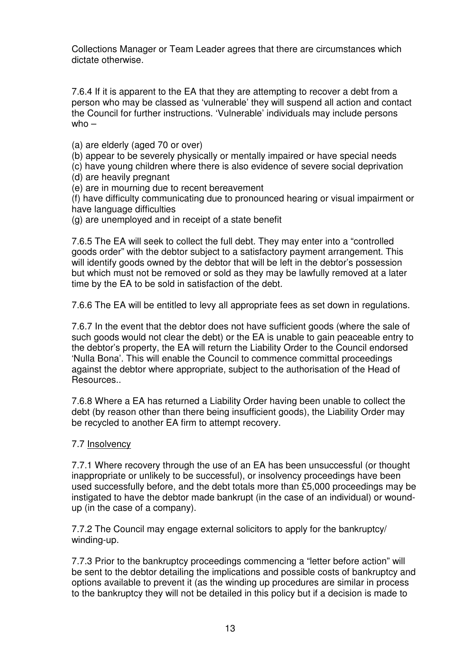Collections Manager or Team Leader agrees that there are circumstances which dictate otherwise.

7.6.4 If it is apparent to the EA that they are attempting to recover a debt from a person who may be classed as 'vulnerable' they will suspend all action and contact the Council for further instructions. 'Vulnerable' individuals may include persons who  $-$ 

(a) are elderly (aged 70 or over)

(b) appear to be severely physically or mentally impaired or have special needs

(c) have young children where there is also evidence of severe social deprivation

(d) are heavily pregnant

(e) are in mourning due to recent bereavement

(f) have difficulty communicating due to pronounced hearing or visual impairment or have language difficulties

(g) are unemployed and in receipt of a state benefit

7.6.5 The EA will seek to collect the full debt. They may enter into a "controlled goods order" with the debtor subject to a satisfactory payment arrangement. This will identify goods owned by the debtor that will be left in the debtor's possession but which must not be removed or sold as they may be lawfully removed at a later time by the EA to be sold in satisfaction of the debt.

7.6.6 The EA will be entitled to levy all appropriate fees as set down in regulations.

7.6.7 In the event that the debtor does not have sufficient goods (where the sale of such goods would not clear the debt) or the EA is unable to gain peaceable entry to the debtor's property, the EA will return the Liability Order to the Council endorsed 'Nulla Bona'. This will enable the Council to commence committal proceedings against the debtor where appropriate, subject to the authorisation of the Head of Resources..

7.6.8 Where a EA has returned a Liability Order having been unable to collect the debt (by reason other than there being insufficient goods), the Liability Order may be recycled to another EA firm to attempt recovery.

## 7.7 Insolvency

7.7.1 Where recovery through the use of an EA has been unsuccessful (or thought inappropriate or unlikely to be successful), or insolvency proceedings have been used successfully before, and the debt totals more than £5,000 proceedings may be instigated to have the debtor made bankrupt (in the case of an individual) or woundup (in the case of a company).

7.7.2 The Council may engage external solicitors to apply for the bankruptcy/ winding-up.

7.7.3 Prior to the bankruptcy proceedings commencing a "letter before action" will be sent to the debtor detailing the implications and possible costs of bankruptcy and options available to prevent it (as the winding up procedures are similar in process to the bankruptcy they will not be detailed in this policy but if a decision is made to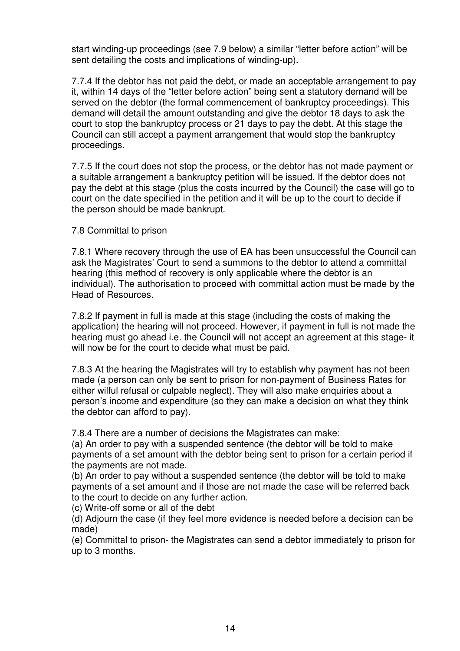start winding-up proceedings (see 7.9 below) a similar "letter before action" will be sent detailing the costs and implications of winding-up).

7.7.4 If the debtor has not paid the debt, or made an acceptable arrangement to pay it, within 14 days of the "letter before action" being sent a statutory demand will be served on the debtor (the formal commencement of bankruptcy proceedings). This demand will detail the amount outstanding and give the debtor 18 days to ask the court to stop the bankruptcy process or 21 days to pay the debt. At this stage the Council can still accept a payment arrangement that would stop the bankruptcy proceedings.

7.7.5 If the court does not stop the process, or the debtor has not made payment or a suitable arrangement a bankruptcy petition will be issued. If the debtor does not pay the debt at this stage (plus the costs incurred by the Council) the case will go to court on the date specified in the petition and it will be up to the court to decide if the person should be made bankrupt.

## 7.8 Committal to prison

7.8.1 Where recovery through the use of EA has been unsuccessful the Council can ask the Magistrates' Court to send a summons to the debtor to attend a committal hearing (this method of recovery is only applicable where the debtor is an individual). The authorisation to proceed with committal action must be made by the Head of Resources.

7.8.2 If payment in full is made at this stage (including the costs of making the application) the hearing will not proceed. However, if payment in full is not made the hearing must go ahead i.e. the Council will not accept an agreement at this stage- it will now be for the court to decide what must be paid.

7.8.3 At the hearing the Magistrates will try to establish why payment has not been made (a person can only be sent to prison for non-payment of Business Rates for either wilful refusal or culpable neglect). They will also make enquiries about a person's income and expenditure (so they can make a decision on what they think the debtor can afford to pay).

7.8.4 There are a number of decisions the Magistrates can make:

(a) An order to pay with a suspended sentence (the debtor will be told to make payments of a set amount with the debtor being sent to prison for a certain period if the payments are not made.

(b) An order to pay without a suspended sentence (the debtor will be told to make payments of a set amount and if those are not made the case will be referred back to the court to decide on any further action.

(c) Write-off some or all of the debt

(d) Adjourn the case (if they feel more evidence is needed before a decision can be made)

(e) Committal to prison- the Magistrates can send a debtor immediately to prison for up to 3 months.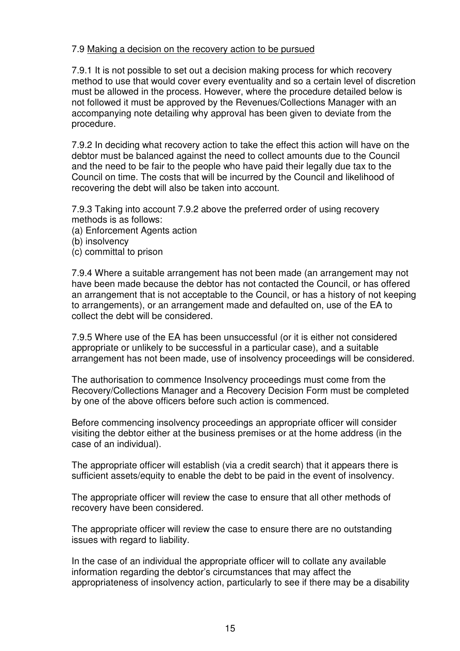## 7.9 Making a decision on the recovery action to be pursued

7.9.1 It is not possible to set out a decision making process for which recovery method to use that would cover every eventuality and so a certain level of discretion must be allowed in the process. However, where the procedure detailed below is not followed it must be approved by the Revenues/Collections Manager with an accompanying note detailing why approval has been given to deviate from the procedure.

7.9.2 In deciding what recovery action to take the effect this action will have on the debtor must be balanced against the need to collect amounts due to the Council and the need to be fair to the people who have paid their legally due tax to the Council on time. The costs that will be incurred by the Council and likelihood of recovering the debt will also be taken into account.

7.9.3 Taking into account 7.9.2 above the preferred order of using recovery methods is as follows:

- (a) Enforcement Agents action
- (b) insolvency
- (c) committal to prison

7.9.4 Where a suitable arrangement has not been made (an arrangement may not have been made because the debtor has not contacted the Council, or has offered an arrangement that is not acceptable to the Council, or has a history of not keeping to arrangements), or an arrangement made and defaulted on, use of the EA to collect the debt will be considered.

7.9.5 Where use of the EA has been unsuccessful (or it is either not considered appropriate or unlikely to be successful in a particular case), and a suitable arrangement has not been made, use of insolvency proceedings will be considered.

The authorisation to commence Insolvency proceedings must come from the Recovery/Collections Manager and a Recovery Decision Form must be completed by one of the above officers before such action is commenced.

Before commencing insolvency proceedings an appropriate officer will consider visiting the debtor either at the business premises or at the home address (in the case of an individual).

The appropriate officer will establish (via a credit search) that it appears there is sufficient assets/equity to enable the debt to be paid in the event of insolvency.

The appropriate officer will review the case to ensure that all other methods of recovery have been considered.

The appropriate officer will review the case to ensure there are no outstanding issues with regard to liability.

In the case of an individual the appropriate officer will to collate any available information regarding the debtor's circumstances that may affect the appropriateness of insolvency action, particularly to see if there may be a disability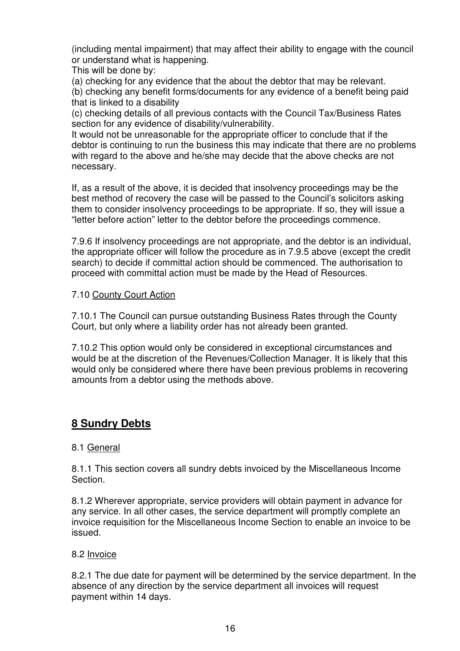(including mental impairment) that may affect their ability to engage with the council or understand what is happening.

This will be done by:

(a) checking for any evidence that the about the debtor that may be relevant.

(b) checking any benefit forms/documents for any evidence of a benefit being paid that is linked to a disability

(c) checking details of all previous contacts with the Council Tax/Business Rates section for any evidence of disability/vulnerability.

It would not be unreasonable for the appropriate officer to conclude that if the debtor is continuing to run the business this may indicate that there are no problems with regard to the above and he/she may decide that the above checks are not necessary.

If, as a result of the above, it is decided that insolvency proceedings may be the best method of recovery the case will be passed to the Council's solicitors asking them to consider insolvency proceedings to be appropriate. If so, they will issue a "letter before action" letter to the debtor before the proceedings commence.

7.9.6 If insolvency proceedings are not appropriate, and the debtor is an individual, the appropriate officer will follow the procedure as in 7.9.5 above (except the credit search) to decide if committal action should be commenced. The authorisation to proceed with committal action must be made by the Head of Resources.

## 7.10 County Court Action

7.10.1 The Council can pursue outstanding Business Rates through the County Court, but only where a liability order has not already been granted.

7.10.2 This option would only be considered in exceptional circumstances and would be at the discretion of the Revenues/Collection Manager. It is likely that this would only be considered where there have been previous problems in recovering amounts from a debtor using the methods above.

## **8 Sundry Debts**

## 8.1 General

8.1.1 This section covers all sundry debts invoiced by the Miscellaneous Income Section.

8.1.2 Wherever appropriate, service providers will obtain payment in advance for any service. In all other cases, the service department will promptly complete an invoice requisition for the Miscellaneous Income Section to enable an invoice to be issued.

## 8.2 Invoice

8.2.1 The due date for payment will be determined by the service department. In the absence of any direction by the service department all invoices will request payment within 14 days.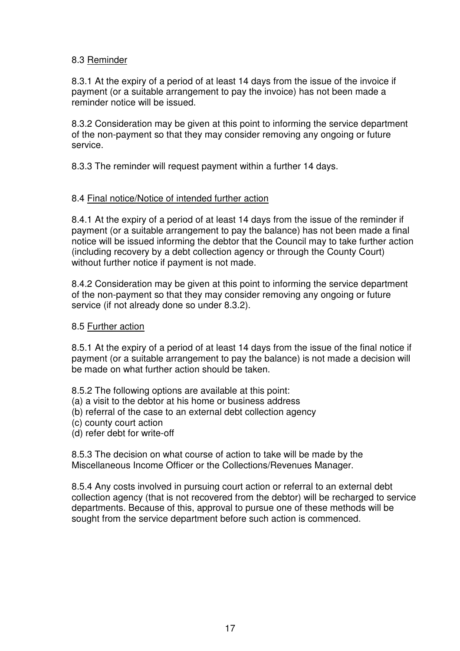## 8.3 Reminder

8.3.1 At the expiry of a period of at least 14 days from the issue of the invoice if payment (or a suitable arrangement to pay the invoice) has not been made a reminder notice will be issued.

8.3.2 Consideration may be given at this point to informing the service department of the non-payment so that they may consider removing any ongoing or future service.

8.3.3 The reminder will request payment within a further 14 days.

## 8.4 Final notice/Notice of intended further action

8.4.1 At the expiry of a period of at least 14 days from the issue of the reminder if payment (or a suitable arrangement to pay the balance) has not been made a final notice will be issued informing the debtor that the Council may to take further action (including recovery by a debt collection agency or through the County Court) without further notice if payment is not made.

8.4.2 Consideration may be given at this point to informing the service department of the non-payment so that they may consider removing any ongoing or future service (if not already done so under 8.3.2).

## 8.5 Further action

8.5.1 At the expiry of a period of at least 14 days from the issue of the final notice if payment (or a suitable arrangement to pay the balance) is not made a decision will be made on what further action should be taken.

8.5.2 The following options are available at this point:

- (a) a visit to the debtor at his home or business address
- (b) referral of the case to an external debt collection agency
- (c) county court action
- (d) refer debt for write-off

8.5.3 The decision on what course of action to take will be made by the Miscellaneous Income Officer or the Collections/Revenues Manager.

8.5.4 Any costs involved in pursuing court action or referral to an external debt collection agency (that is not recovered from the debtor) will be recharged to service departments. Because of this, approval to pursue one of these methods will be sought from the service department before such action is commenced.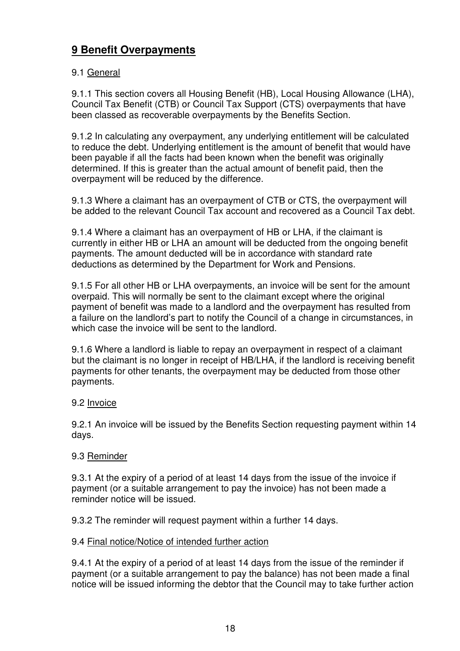## **9 Benefit Overpayments**

## 9.1 General

9.1.1 This section covers all Housing Benefit (HB), Local Housing Allowance (LHA), Council Tax Benefit (CTB) or Council Tax Support (CTS) overpayments that have been classed as recoverable overpayments by the Benefits Section.

9.1.2 In calculating any overpayment, any underlying entitlement will be calculated to reduce the debt. Underlying entitlement is the amount of benefit that would have been payable if all the facts had been known when the benefit was originally determined. If this is greater than the actual amount of benefit paid, then the overpayment will be reduced by the difference.

9.1.3 Where a claimant has an overpayment of CTB or CTS, the overpayment will be added to the relevant Council Tax account and recovered as a Council Tax debt.

9.1.4 Where a claimant has an overpayment of HB or LHA, if the claimant is currently in either HB or LHA an amount will be deducted from the ongoing benefit payments. The amount deducted will be in accordance with standard rate deductions as determined by the Department for Work and Pensions.

9.1.5 For all other HB or LHA overpayments, an invoice will be sent for the amount overpaid. This will normally be sent to the claimant except where the original payment of benefit was made to a landlord and the overpayment has resulted from a failure on the landlord's part to notify the Council of a change in circumstances, in which case the invoice will be sent to the landlord.

9.1.6 Where a landlord is liable to repay an overpayment in respect of a claimant but the claimant is no longer in receipt of HB/LHA, if the landlord is receiving benefit payments for other tenants, the overpayment may be deducted from those other payments.

## 9.2 Invoice

9.2.1 An invoice will be issued by the Benefits Section requesting payment within 14 days.

## 9.3 Reminder

9.3.1 At the expiry of a period of at least 14 days from the issue of the invoice if payment (or a suitable arrangement to pay the invoice) has not been made a reminder notice will be issued.

9.3.2 The reminder will request payment within a further 14 days.

## 9.4 Final notice/Notice of intended further action

9.4.1 At the expiry of a period of at least 14 days from the issue of the reminder if payment (or a suitable arrangement to pay the balance) has not been made a final notice will be issued informing the debtor that the Council may to take further action